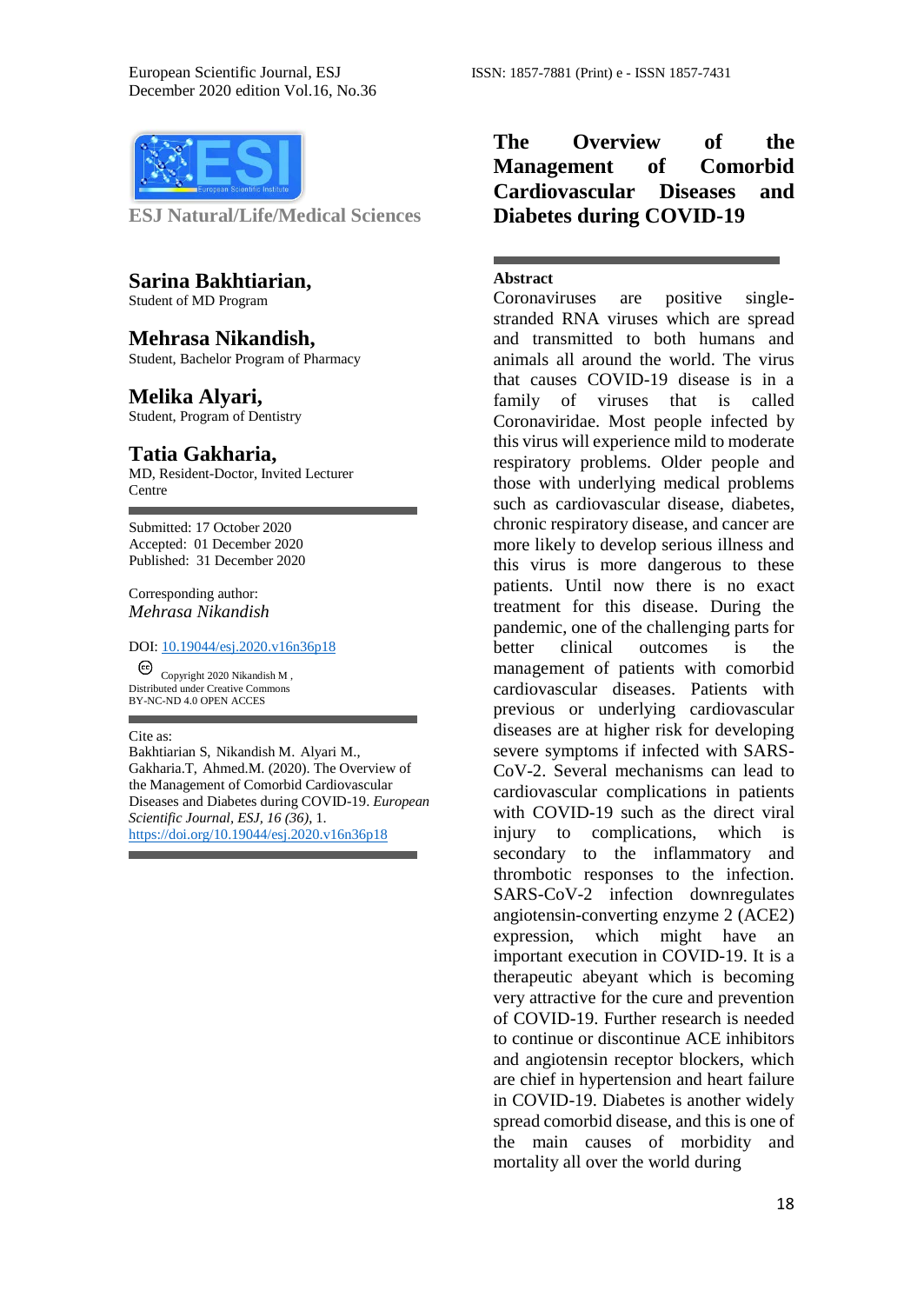

**ESJ Natural/Life/Medical Sciences** 

#### **Sarina Bakhtiarian,**

Student of MD Program

## **Mehrasa Nikandish,**

Student, Bachelor Program of Pharmacy

### **Melika Alyari,**

Student, Program of Dentistry

#### **Tatia Gakharia,**

MD, Resident-Doctor, Invited Lecturer **Centre** 

Submitted: 17 October 2020 Accepted: 01 December 2020 Published: 31 December 2020

Corresponding author: *Mehrasa Nikandish*

#### DOI: 10.19044/esj.2020.v16n36p18

Copyright 2020 Nikandish M , Distributed under Creative Commons BY-NC-ND 4.0 OPEN ACCES

#### Cite as:

Bakhtiarian S, Nikandish M. Alyari M., Gakharia.T, Ahmed.M. (2020). The Overview of the Management of Comorbid Cardiovascular Diseases and Diabetes during COVID-19. *European Scientific Journal, ESJ, 16 (36)*, 1. <https://doi.org/10.19044/esj.2020.v16n36p18>

# **The Overview of the Management of Comorbid Cardiovascular Diseases and Diabetes during COVID-19**

#### **Abstract**

Coronaviruses are positive singlestranded RNA viruses which are spread and transmitted to both humans and animals all around the world. The virus that causes COVID-19 disease is in a family of viruses that is called Coronaviridae. Most people infected by this virus will experience mild to moderate respiratory problems. Older people and those with underlying medical problems such as cardiovascular disease, diabetes, chronic respiratory disease, and cancer are more likely to develop serious illness and this virus is more dangerous to these patients. Until now there is no exact treatment for this disease. During the pandemic, one of the challenging parts for better clinical outcomes is the management of patients with comorbid cardiovascular diseases. Patients with previous or underlying cardiovascular diseases are at higher risk for developing severe symptoms if infected with SARS-CoV-2. Several mechanisms can lead to cardiovascular complications in patients with COVID-19 such as the direct viral injury to complications, which is secondary to the inflammatory and thrombotic responses to the infection. SARS-CoV-2 infection downregulates angiotensin-converting enzyme 2 (ACE2) expression, which might have an important execution in COVID-19. It is a therapeutic abeyant which is becoming very attractive for the cure and prevention of COVID-19. Further research is needed to continue or discontinue ACE inhibitors and angiotensin receptor blockers, which are chief in hypertension and heart failure in COVID-19. Diabetes is another widely spread comorbid disease, and this is one of the main causes of morbidity and mortality all over the world during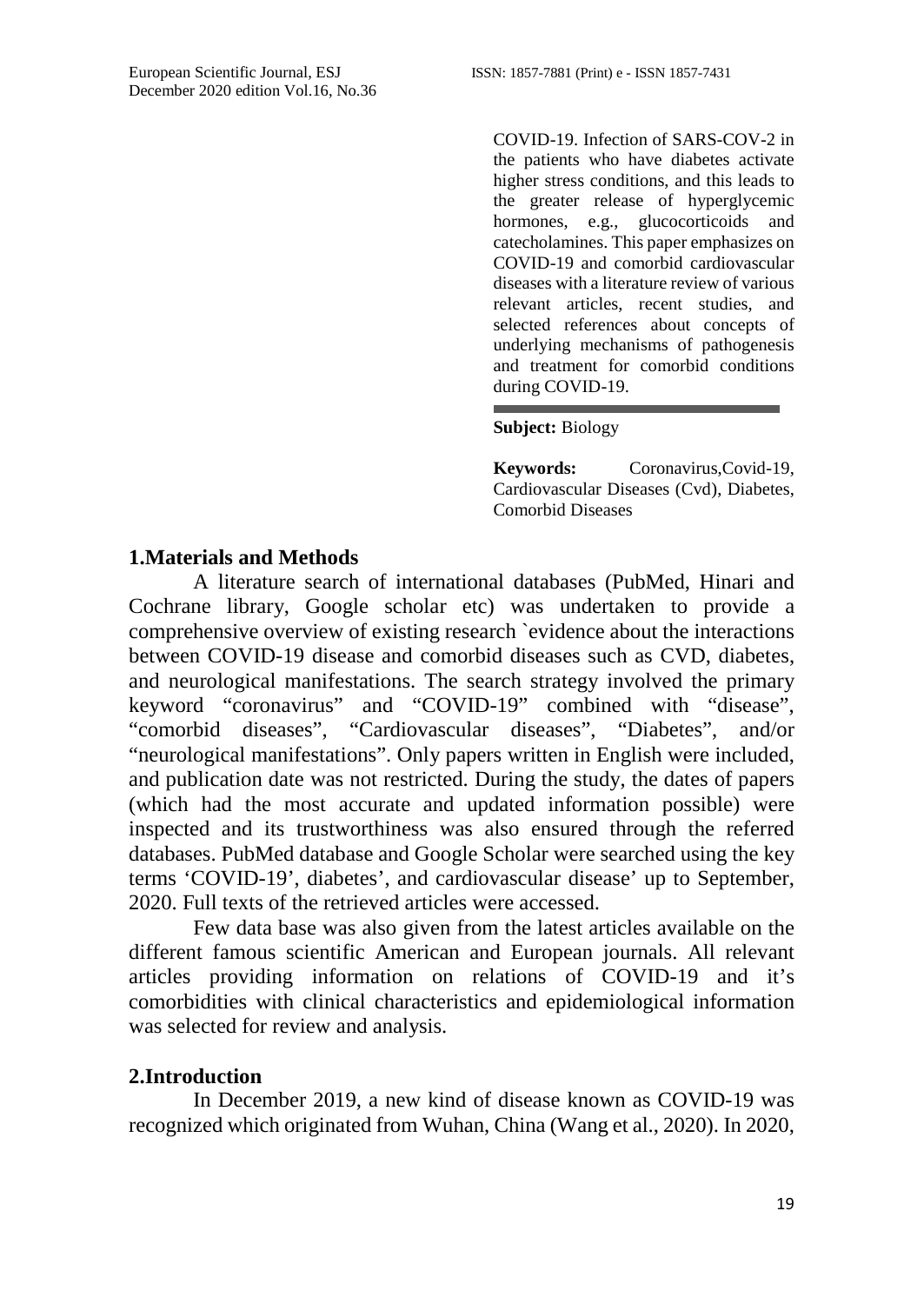COVID-19. Infection of SARS-COV-2 in the patients who have diabetes activate higher stress conditions, and this leads to the greater release of hyperglycemic hormones, e.g., glucocorticoids and catecholamines. This paper emphasizes on COVID-19 and comorbid cardiovascular diseases with a literature review of various relevant articles, recent studies, and selected references about concepts of underlying mechanisms of pathogenesis and treatment for comorbid conditions during COVID-19.

**Subject:** Biology

**Keywords:** Coronavirus,Covid-19, Cardiovascular Diseases (Cvd), Diabetes, Comorbid Diseases

# **1.Materials and Methods**

A literature search of international databases (PubMed, Hinari and Cochrane library, Google scholar etc) was undertaken to provide a comprehensive overview of existing research `evidence about the interactions between COVID-19 disease and comorbid diseases such as CVD, diabetes, and neurological manifestations. The search strategy involved the primary keyword "coronavirus" and "COVID-19" combined with "disease", "comorbid diseases", "Cardiovascular diseases", "Diabetes", and/or "neurological manifestations". Only papers written in English were included, and publication date was not restricted. During the study, the dates of papers (which had the most accurate and updated information possible) were inspected and its trustworthiness was also ensured through the referred databases. PubMed database and Google Scholar were searched using the key terms 'COVID-19', diabetes', and cardiovascular disease' up to September, 2020. Full texts of the retrieved articles were accessed.

Few data base was also given from the latest articles available on the different famous scientific American and European journals. All relevant articles providing information on relations of COVID-19 and it's comorbidities with clinical characteristics and epidemiological information was selected for review and analysis.

# **2.Introduction**

In December 2019, a new kind of disease known as COVID-19 was recognized which originated from Wuhan, China (Wang et al., 2020). In 2020,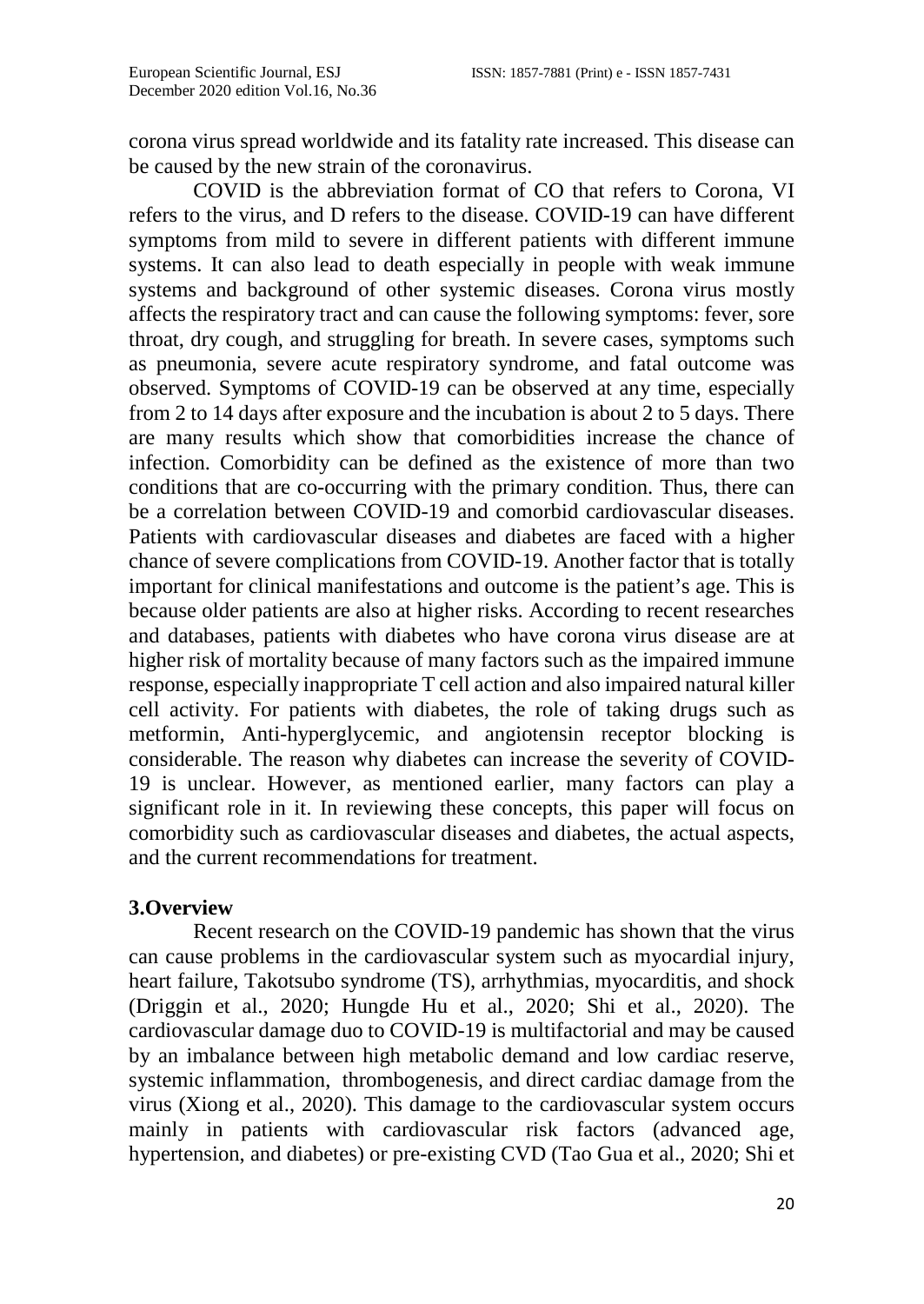corona virus spread worldwide and its fatality rate increased. This disease can be caused by the new strain of the coronavirus.

COVID is the abbreviation format of CO that refers to Corona, VI refers to the virus, and D refers to the disease. COVID-19 can have different symptoms from mild to severe in different patients with different immune systems. It can also lead to death especially in people with weak immune systems and background of other systemic diseases. Corona virus mostly affects the respiratory tract and can cause the following symptoms: fever, sore throat, dry cough, and struggling for breath. In severe cases, symptoms such as pneumonia, severe acute respiratory syndrome, and fatal outcome was observed. Symptoms of COVID-19 can be observed at any time, especially from 2 to 14 days after exposure and the incubation is about 2 to 5 days. There are many results which show that comorbidities increase the chance of infection. Comorbidity can be defined as the existence of more than two conditions that are co-occurring with the primary condition. Thus, there can be a correlation between COVID-19 and comorbid cardiovascular diseases. Patients with cardiovascular diseases and diabetes are faced with a higher chance of severe complications from COVID-19. Another factor that is totally important for clinical manifestations and outcome is the patient's age. This is because older patients are also at higher risks. According to recent researches and databases, patients with diabetes who have corona virus disease are at higher risk of mortality because of many factors such as the impaired immune response, especially inappropriate T cell action and also impaired natural killer cell activity. For patients with diabetes, the role of taking drugs such as metformin, Anti-hyperglycemic, and angiotensin receptor blocking is considerable. The reason why diabetes can increase the severity of COVID-19 is unclear. However, as mentioned earlier, many factors can play a significant role in it. In reviewing these concepts, this paper will focus on comorbidity such as cardiovascular diseases and diabetes, the actual aspects, and the current recommendations for treatment.

## **3.Overview**

Recent research on the COVID-19 pandemic has shown that the virus can cause problems in the cardiovascular system such as myocardial injury, heart failure, Takotsubo syndrome (TS), arrhythmias, myocarditis, and shock (Driggin et al., 2020; Hungde Hu et al., 2020; Shi et al., 2020). The cardiovascular damage duo to COVID-19 is multifactorial and may be caused by an imbalance between high metabolic demand and low cardiac reserve, systemic inflammation, thrombogenesis, and direct cardiac damage from the virus (Xiong et al., 2020). This damage to the cardiovascular system occurs mainly in patients with cardiovascular risk factors (advanced age, hypertension, and diabetes) or pre-existing CVD (Tao Gua et al., 2020; Shi et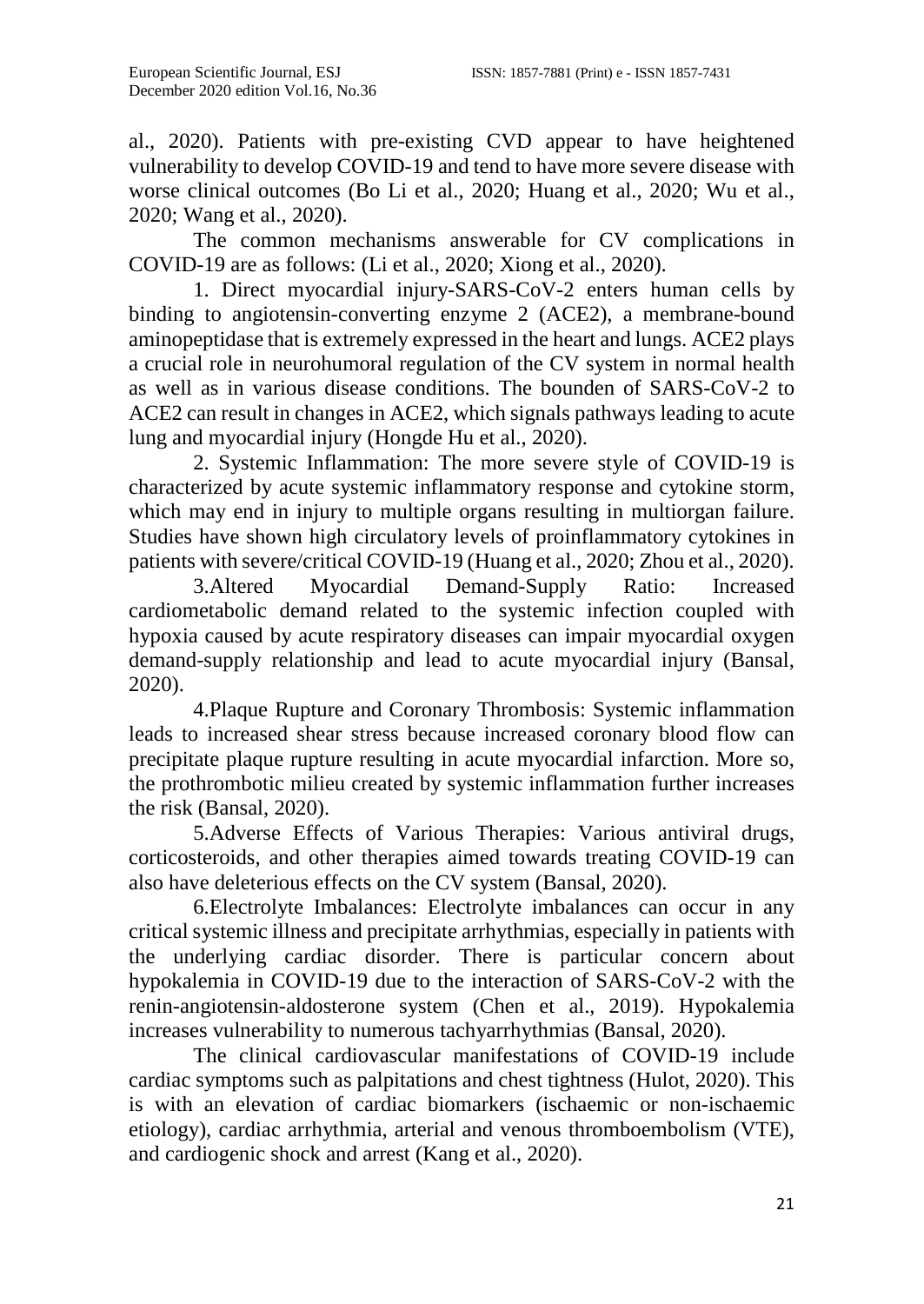al., 2020). Patients with pre-existing CVD appear to have heightened vulnerability to develop COVID-19 and tend to have more severe disease with worse clinical outcomes (Bo Li et al., 2020; Huang et al., 2020; Wu et al., 2020; Wang et al., 2020).

The common mechanisms answerable for CV complications in COVID-19 are as follows: (Li et al., 2020; Xiong et al., 2020).

1. Direct myocardial injury-SARS-CoV-2 enters human cells by binding to angiotensin-converting enzyme 2 (ACE2), a membrane-bound aminopeptidase that is extremely expressed in the heart and lungs. ACE2 plays a crucial role in neurohumoral regulation of the CV system in normal health as well as in various disease conditions. The bounden of SARS-CoV-2 to ACE2 can result in changes in ACE2, which signals pathways leading to acute lung and myocardial injury (Hongde Hu et al., 2020).

2. Systemic Inflammation: The more severe style of COVID-19 is characterized by acute systemic inflammatory response and cytokine storm, which may end in injury to multiple organs resulting in multiorgan failure. Studies have shown high circulatory levels of proinflammatory cytokines in patients with severe/critical COVID-19 (Huang et al., 2020; Zhou et al., 2020).

3.Altered Myocardial Demand-Supply Ratio: Increased cardiometabolic demand related to the systemic infection coupled with hypoxia caused by acute respiratory diseases can impair myocardial oxygen demand-supply relationship and lead to acute myocardial injury (Bansal, 2020).

4.Plaque Rupture and Coronary Thrombosis: Systemic inflammation leads to increased shear stress because increased coronary blood flow can precipitate plaque rupture resulting in acute myocardial infarction. More so, the prothrombotic milieu created by systemic inflammation further increases the risk (Bansal, 2020).

5.Adverse Effects of Various Therapies: Various antiviral drugs, corticosteroids, and other therapies aimed towards treating COVID-19 can also have deleterious effects on the CV system (Bansal, 2020).

6.Electrolyte Imbalances: Electrolyte imbalances can occur in any critical systemic illness and precipitate arrhythmias, especially in patients with the underlying cardiac disorder. There is particular concern about hypokalemia in COVID-19 due to the interaction of SARS-CoV-2 with the renin-angiotensin-aldosterone system (Chen et al., 2019). Hypokalemia increases vulnerability to numerous tachyarrhythmias (Bansal, 2020).

The clinical cardiovascular manifestations of COVID-19 include cardiac symptoms such as palpitations and chest tightness (Hulot, 2020). This is with an elevation of cardiac biomarkers (ischaemic or non-ischaemic etiology), cardiac arrhythmia, arterial and venous thromboembolism (VTE), and cardiogenic shock and arrest (Kang et al., 2020).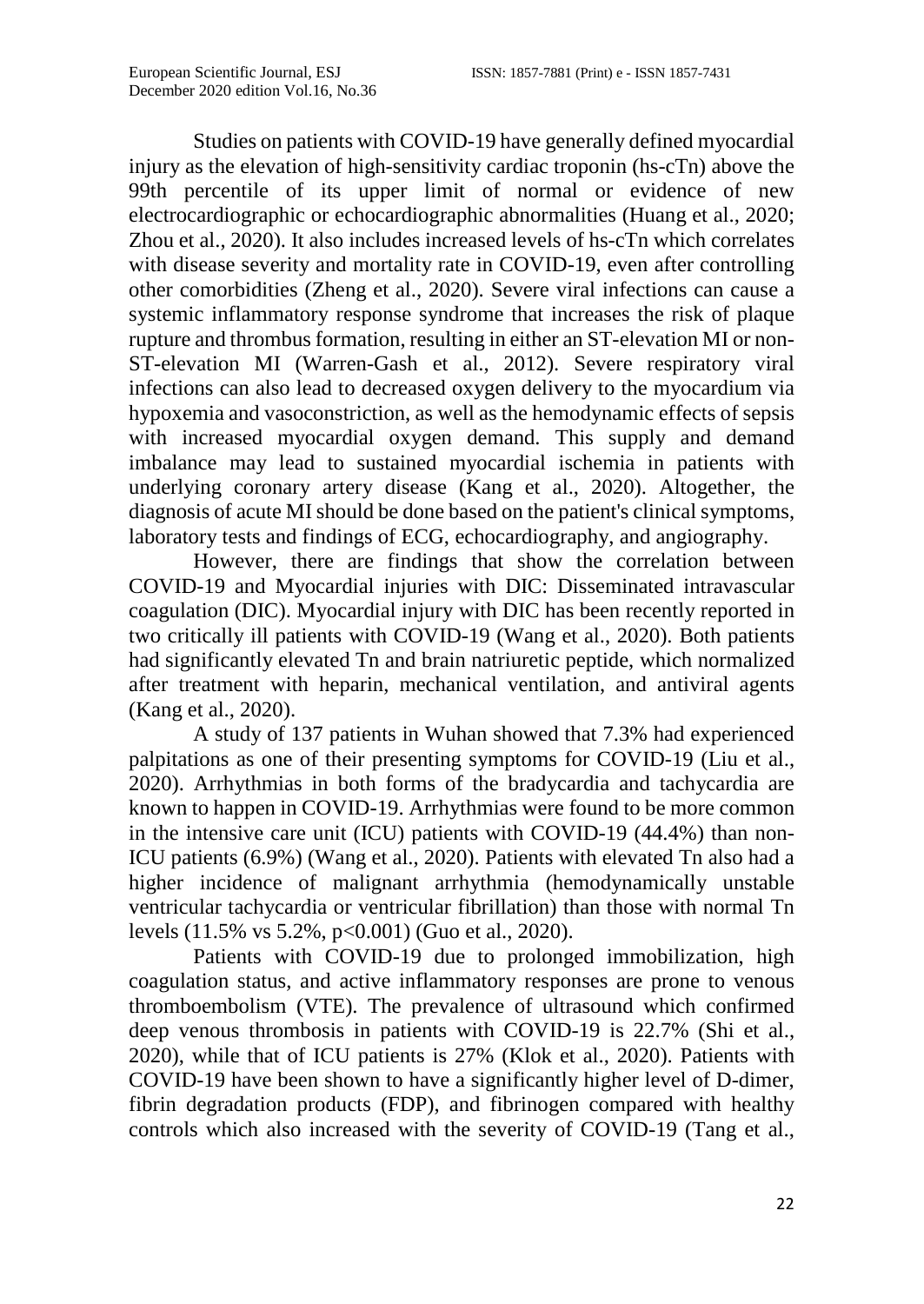Studies on patients with COVID-19 have generally defined myocardial injury as the elevation of high-sensitivity cardiac troponin (hs-cTn) above the 99th percentile of its upper limit of normal or evidence of new electrocardiographic or echocardiographic abnormalities (Huang et al., 2020; Zhou et al., 2020). It also includes increased levels of hs-cTn which correlates with disease severity and mortality rate in COVID-19, even after controlling other comorbidities (Zheng et al., 2020). Severe viral infections can cause a systemic inflammatory response syndrome that increases the risk of plaque rupture and thrombus formation, resulting in either an ST-elevation MI or non-ST-elevation MI (Warren-Gash et al., 2012). Severe respiratory viral infections can also lead to decreased oxygen delivery to the myocardium via hypoxemia and vasoconstriction, as well as the hemodynamic effects of sepsis with increased myocardial oxygen demand. This supply and demand imbalance may lead to sustained myocardial ischemia in patients with underlying coronary artery disease (Kang et al., 2020). Altogether, the diagnosis of acute MI should be done based on the patient's clinical symptoms, laboratory tests and findings of ECG, echocardiography, and angiography.

However, there are findings that show the correlation between COVID-19 and Myocardial injuries with DIC: Disseminated intravascular coagulation (DIC). Myocardial injury with DIC has been recently reported in two critically ill patients with COVID-19 (Wang et al., 2020). Both patients had significantly elevated Tn and brain natriuretic peptide, which normalized after treatment with heparin, mechanical ventilation, and antiviral agents (Kang et al., 2020).

A study of 137 patients in Wuhan showed that 7.3% had experienced palpitations as one of their presenting symptoms for COVID-19 (Liu et al., 2020). Arrhythmias in both forms of the bradycardia and tachycardia are known to happen in COVID-19. Arrhythmias were found to be more common in the intensive care unit (ICU) patients with COVID-19 (44.4%) than non-ICU patients (6.9%) (Wang et al., 2020). Patients with elevated Tn also had a higher incidence of malignant arrhythmia (hemodynamically unstable ventricular tachycardia or ventricular fibrillation) than those with normal Tn levels (11.5% vs 5.2%, p<0.001) (Guo et al., 2020).

Patients with COVID-19 due to prolonged immobilization, high coagulation status, and active inflammatory responses are prone to venous thromboembolism (VTE). The prevalence of ultrasound which confirmed deep venous thrombosis in patients with COVID-19 is 22.7% (Shi et al., 2020), while that of ICU patients is 27% (Klok et al., 2020). Patients with COVID-19 have been shown to have a significantly higher level of D-dimer, fibrin degradation products (FDP), and fibrinogen compared with healthy controls which also increased with the severity of COVID-19 (Tang et al.,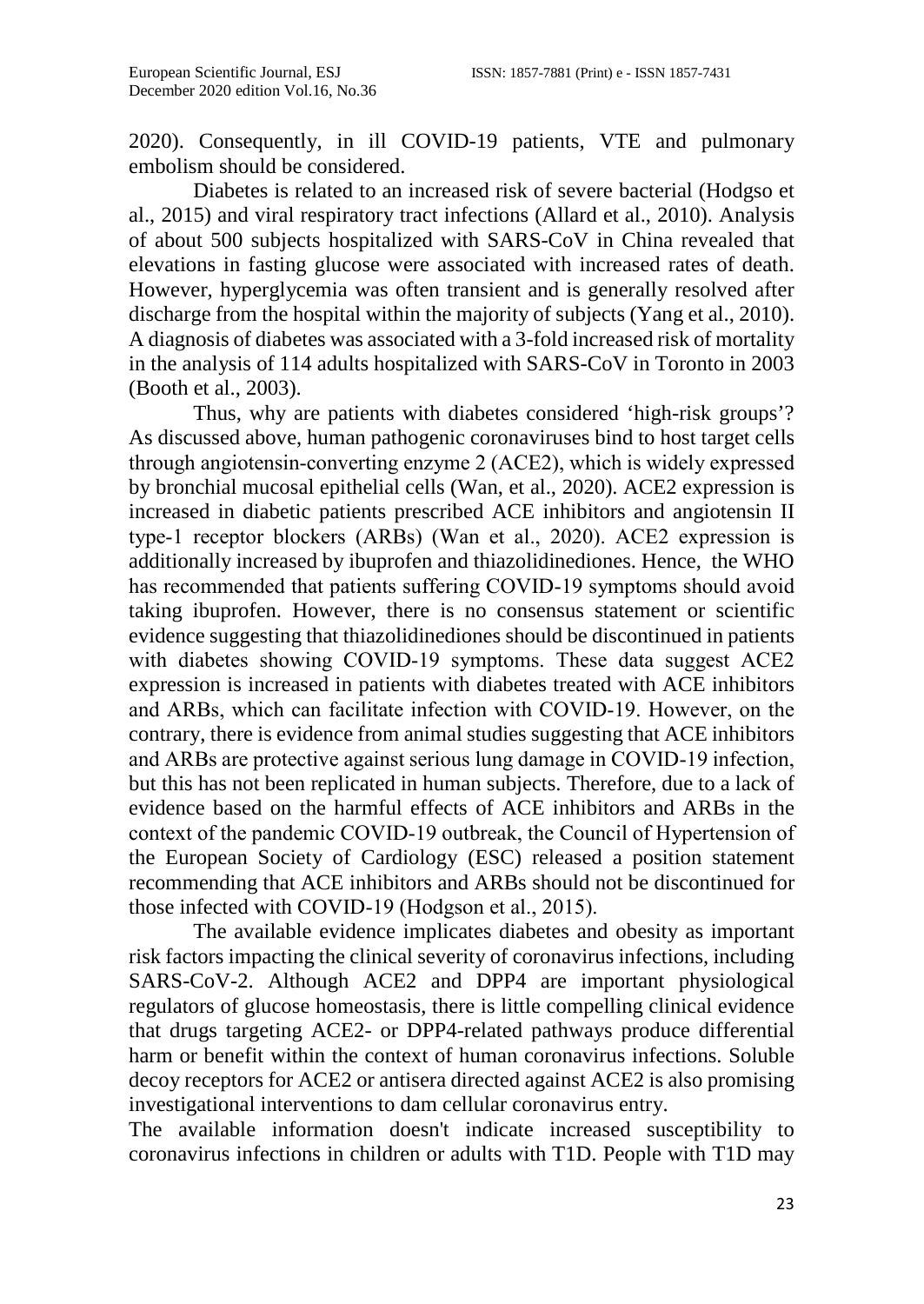2020). Consequently, in ill COVID-19 patients, VTE and pulmonary embolism should be considered.

Diabetes is related to an increased risk of severe bacterial (Hodgso et al., 2015) and viral respiratory tract infections (Allard et al., 2010). Analysis of about 500 subjects hospitalized with SARS-CoV in China revealed that elevations in fasting glucose were associated with increased rates of death. However, hyperglycemia was often transient and is generally resolved after discharge from the hospital within the majority of subjects (Yang et al., 2010). A diagnosis of diabetes was associated with a 3-fold increased risk of mortality in the analysis of 114 adults hospitalized with SARS-CoV in Toronto in 2003 (Booth et al., 2003).

Thus, why are patients with diabetes considered 'high-risk groups'? As discussed above, human pathogenic coronaviruses bind to host target cells through angiotensin‐converting enzyme 2 (ACE2), which is widely expressed by bronchial mucosal epithelial cells (Wan, et al., 2020). ACE2 expression is increased in diabetic patients prescribed ACE inhibitors and angiotensin II type‐1 receptor blockers (ARBs) (Wan et al., 2020). ACE2 expression is additionally increased by ibuprofen and thiazolidinediones. Hence, the WHO has recommended that patients suffering COVID‐19 symptoms should avoid taking ibuprofen. However, there is no consensus statement or scientific evidence suggesting that thiazolidinediones should be discontinued in patients with diabetes showing COVID-19 symptoms. These data suggest ACE2 expression is increased in patients with diabetes treated with ACE inhibitors and ARBs, which can facilitate infection with COVID‐19. However, on the contrary, there is evidence from animal studies suggesting that ACE inhibitors and ARBs are protective against serious lung damage in COVID‐19 infection, but this has not been replicated in human subjects. Therefore, due to a lack of evidence based on the harmful effects of ACE inhibitors and ARBs in the context of the pandemic COVID‐19 outbreak, the Council of Hypertension of the European Society of Cardiology (ESC) released a position statement recommending that ACE inhibitors and ARBs should not be discontinued for those infected with COVID‐19 (Hodgson et al., 2015).

The available evidence implicates diabetes and obesity as important risk factors impacting the clinical severity of coronavirus infections, including SARS-CoV-2. Although ACE2 and DPP4 are important physiological regulators of glucose homeostasis, there is little compelling clinical evidence that drugs targeting ACE2- or DPP4-related pathways produce differential harm or benefit within the context of human coronavirus infections. Soluble decoy receptors for ACE2 or antisera directed against ACE2 is also promising investigational interventions to dam cellular coronavirus entry.

The available information doesn't indicate increased susceptibility to coronavirus infections in children or adults with T1D. People with T1D may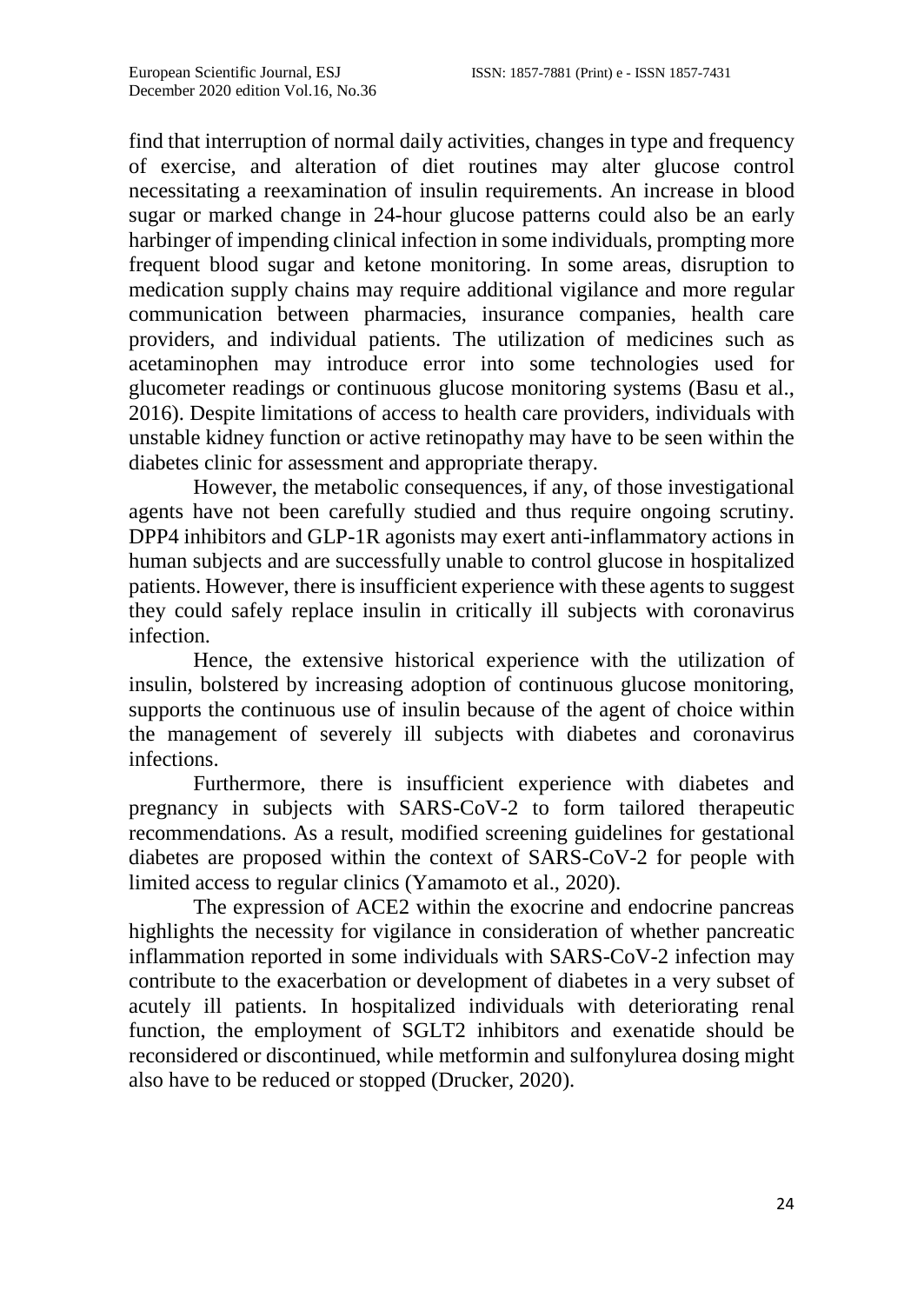find that interruption of normal daily activities, changes in type and frequency of exercise, and alteration of diet routines may alter glucose control necessitating a reexamination of insulin requirements. An increase in blood sugar or marked change in 24-hour glucose patterns could also be an early harbinger of impending clinical infection in some individuals, prompting more frequent blood sugar and ketone monitoring. In some areas, disruption to medication supply chains may require additional vigilance and more regular communication between pharmacies, insurance companies, health care providers, and individual patients. The utilization of medicines such as acetaminophen may introduce error into some technologies used for glucometer readings or continuous glucose monitoring systems (Basu et al., 2016). Despite limitations of access to health care providers, individuals with unstable kidney function or active retinopathy may have to be seen within the diabetes clinic for assessment and appropriate therapy.

However, the metabolic consequences, if any, of those investigational agents have not been carefully studied and thus require ongoing scrutiny. DPP4 inhibitors and GLP-1R agonists may exert anti-inflammatory actions in human subjects and are successfully unable to control glucose in hospitalized patients. However, there is insufficient experience with these agents to suggest they could safely replace insulin in critically ill subjects with coronavirus infection.

Hence, the extensive historical experience with the utilization of insulin, bolstered by increasing adoption of continuous glucose monitoring, supports the continuous use of insulin because of the agent of choice within the management of severely ill subjects with diabetes and coronavirus infections.

Furthermore, there is insufficient experience with diabetes and pregnancy in subjects with SARS-CoV-2 to form tailored therapeutic recommendations. As a result, modified screening guidelines for gestational diabetes are proposed within the context of SARS-CoV-2 for people with limited access to regular clinics (Yamamoto et al., 2020).

The expression of ACE2 within the exocrine and endocrine pancreas highlights the necessity for vigilance in consideration of whether pancreatic inflammation reported in some individuals with SARS-CoV-2 infection may contribute to the exacerbation or development of diabetes in a very subset of acutely ill patients. In hospitalized individuals with deteriorating renal function, the employment of SGLT2 inhibitors and exenatide should be reconsidered or discontinued, while metformin and sulfonylurea dosing might also have to be reduced or stopped (Drucker, 2020).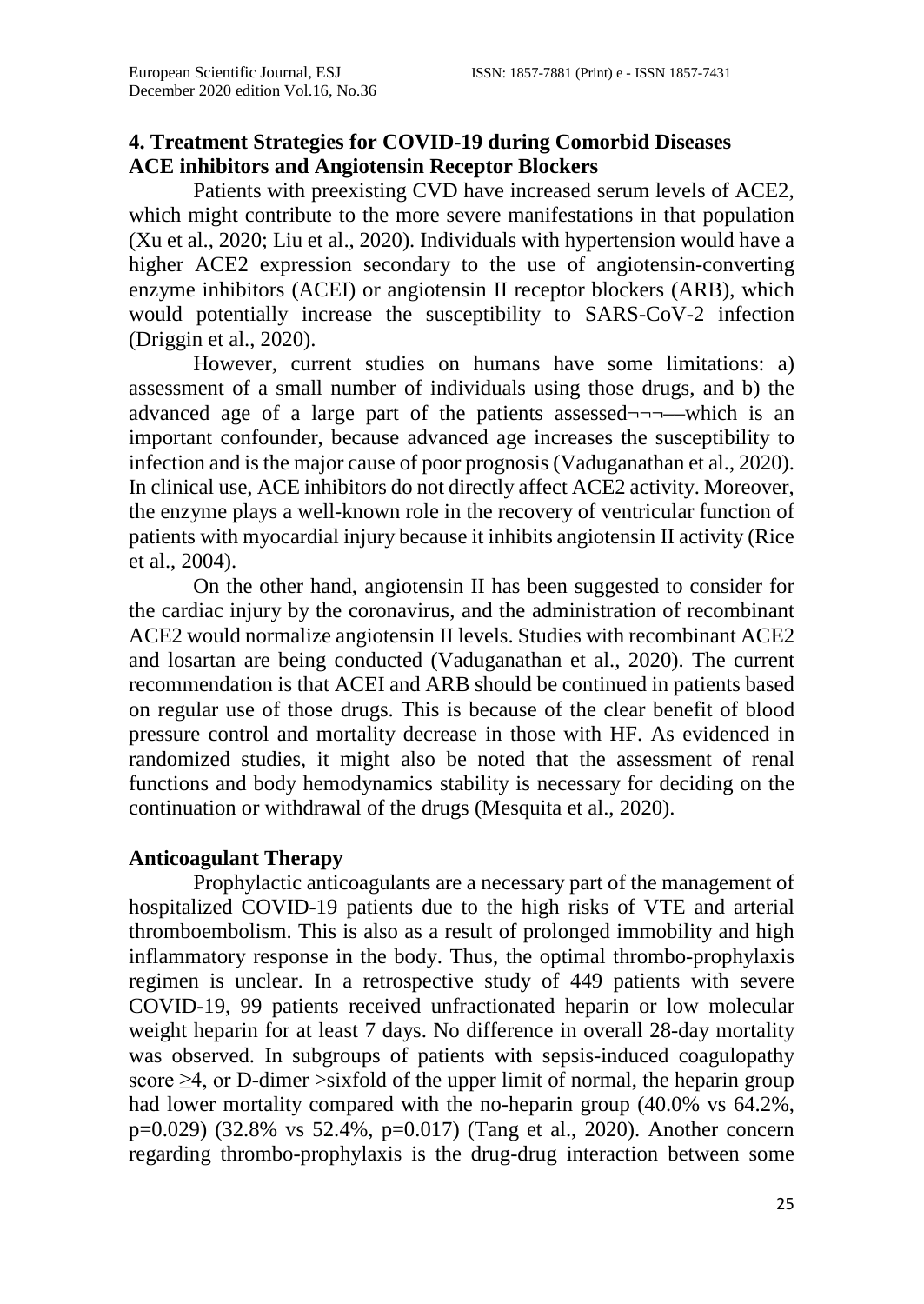# **4. Treatment Strategies for COVID-19 during Comorbid Diseases ACE inhibitors and Angiotensin Receptor Blockers**

Patients with preexisting CVD have increased serum levels of ACE2, which might contribute to the more severe manifestations in that population (Xu et al., 2020; Liu et al., 2020). Individuals with hypertension would have a higher ACE2 expression secondary to the use of angiotensin-converting enzyme inhibitors (ACEI) or angiotensin II receptor blockers (ARB), which would potentially increase the susceptibility to SARS-CoV-2 infection (Driggin et al., 2020).

However, current studies on humans have some limitations: a) assessment of a small number of individuals using those drugs, and b) the advanced age of a large part of the patients assessed¬¬¬––which is an important confounder, because advanced age increases the susceptibility to infection and is the major cause of poor prognosis (Vaduganathan et al., 2020). In clinical use, ACE inhibitors do not directly affect ACE2 activity. Moreover, the enzyme plays a well-known role in the recovery of ventricular function of patients with myocardial injury because it inhibits angiotensin II activity (Rice et al., 2004).

On the other hand, angiotensin II has been suggested to consider for the cardiac injury by the coronavirus, and the administration of recombinant ACE2 would normalize angiotensin II levels. Studies with recombinant ACE2 and losartan are being conducted (Vaduganathan et al., 2020). The current recommendation is that ACEI and ARB should be continued in patients based on regular use of those drugs. This is because of the clear benefit of blood pressure control and mortality decrease in those with HF. As evidenced in randomized studies, it might also be noted that the assessment of renal functions and body hemodynamics stability is necessary for deciding on the continuation or withdrawal of the drugs (Mesquita et al., 2020).

## **Anticoagulant Therapy**

Prophylactic anticoagulants are a necessary part of the management of hospitalized COVID-19 patients due to the high risks of VTE and arterial thromboembolism. This is also as a result of prolonged immobility and high inflammatory response in the body. Thus, the optimal thrombo-prophylaxis regimen is unclear. In a retrospective study of 449 patients with severe COVID-19, 99 patients received unfractionated heparin or low molecular weight heparin for at least 7 days. No difference in overall 28-day mortality was observed. In subgroups of patients with sepsis-induced coagulopathy score  $\geq$ 4, or D-dimer >sixfold of the upper limit of normal, the heparin group had lower mortality compared with the no-heparin group  $(40.0\% \text{ vs } 64.2\%$ , p=0.029) (32.8% vs 52.4%, p=0.017) (Tang et al., 2020). Another concern regarding thrombo-prophylaxis is the drug-drug interaction between some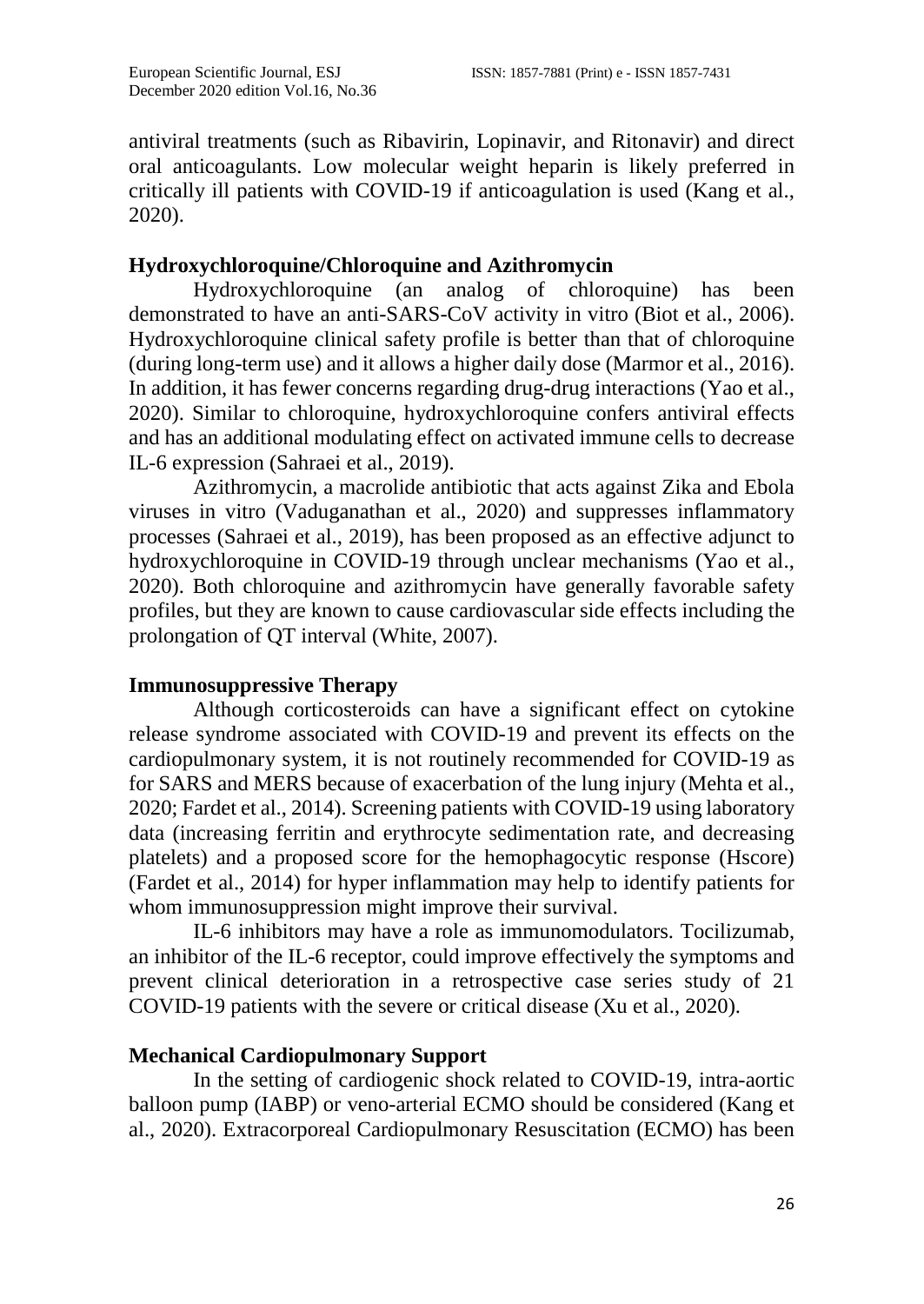antiviral treatments (such as Ribavirin, Lopinavir, and Ritonavir) and direct oral anticoagulants. Low molecular weight heparin is likely preferred in critically ill patients with COVID-19 if anticoagulation is used (Kang et al., 2020).

# **Hydroxychloroquine/Chloroquine and Azithromycin**

Hydroxychloroquine (an analog of chloroquine) has been demonstrated to have an anti-SARS-CoV activity in vitro (Biot et al., 2006). Hydroxychloroquine clinical safety profile is better than that of chloroquine (during long-term use) and it allows a higher daily dose (Marmor et al., 2016). In addition, it has fewer concerns regarding drug-drug interactions (Yao et al., 2020). Similar to chloroquine, hydroxychloroquine confers antiviral effects and has an additional modulating effect on activated immune cells to decrease IL-6 expression (Sahraei et al., 2019).

Azithromycin, a macrolide antibiotic that acts against Zika and Ebola viruses in vitro (Vaduganathan et al., 2020) and suppresses inflammatory processes (Sahraei et al., 2019), has been proposed as an effective adjunct to hydroxychloroquine in COVID-19 through unclear mechanisms (Yao et al., 2020). Both chloroquine and azithromycin have generally favorable safety profiles, but they are known to cause cardiovascular side effects including the prolongation of QT interval (White, 2007).

## **Immunosuppressive Therapy**

Although corticosteroids can have a significant effect on cytokine release syndrome associated with COVID-19 and prevent its effects on the cardiopulmonary system, it is not routinely recommended for COVID-19 as for SARS and MERS because of exacerbation of the lung injury (Mehta et al., 2020; Fardet et al., 2014). Screening patients with COVID-19 using laboratory data (increasing ferritin and erythrocyte sedimentation rate, and decreasing platelets) and a proposed score for the hemophagocytic response (Hscore) (Fardet et al., 2014) for hyper inflammation may help to identify patients for whom immunosuppression might improve their survival.

IL-6 inhibitors may have a role as immunomodulators. Tocilizumab, an inhibitor of the IL-6 receptor, could improve effectively the symptoms and prevent clinical deterioration in a retrospective case series study of 21 COVID-19 patients with the severe or critical disease (Xu et al., 2020).

# **Mechanical Cardiopulmonary Support**

In the setting of cardiogenic shock related to COVID-19, intra-aortic balloon pump (IABP) or veno-arterial ECMO should be considered (Kang et al., 2020). Extracorporeal Cardiopulmonary Resuscitation (ECMO) has been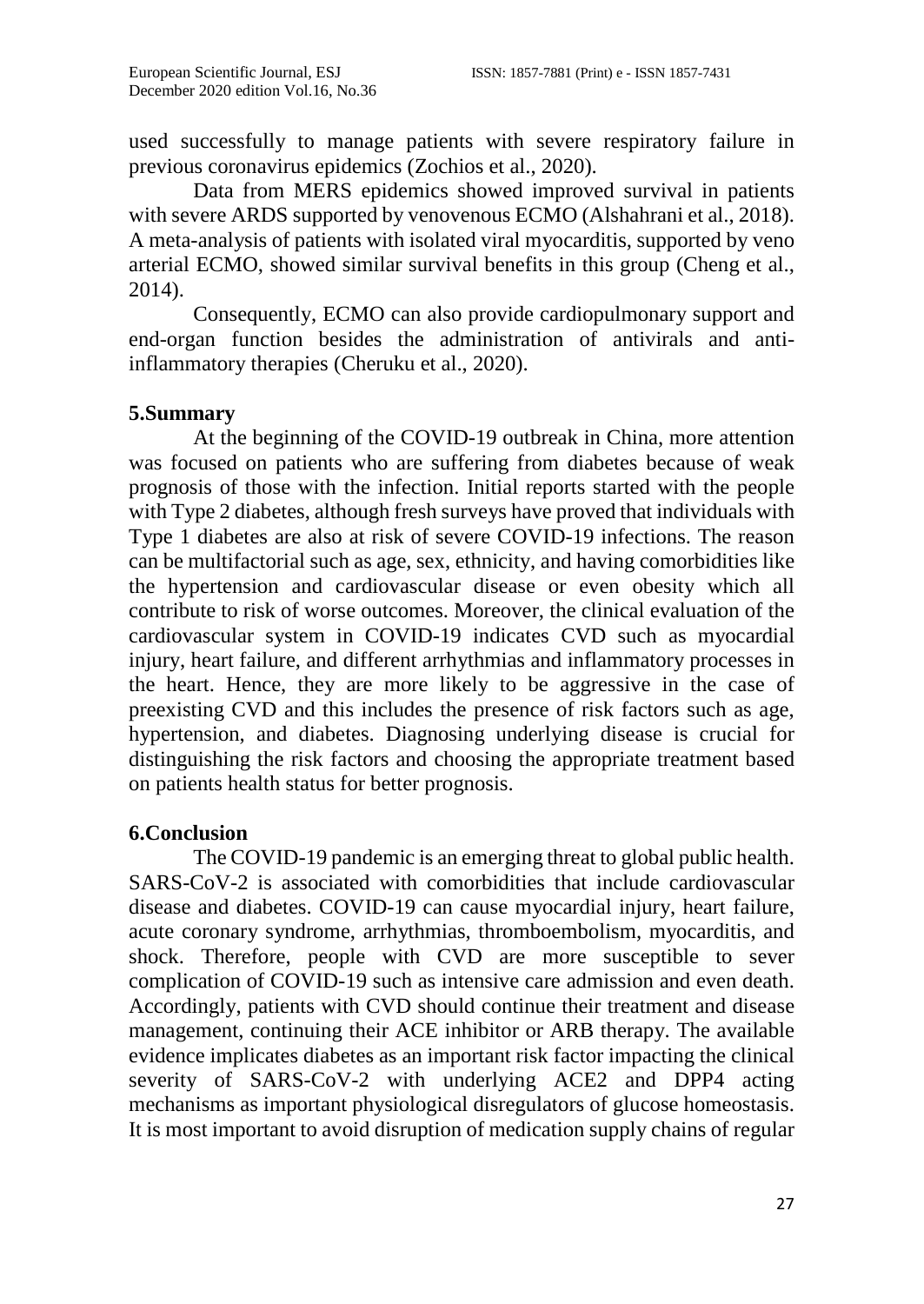used successfully to manage patients with severe respiratory failure in previous coronavirus epidemics (Zochios et al., 2020).

Data from MERS epidemics showed improved survival in patients with severe ARDS supported by venovenous ECMO (Alshahrani et al., 2018). A meta-analysis of patients with isolated viral myocarditis, supported by veno arterial ECMO, showed similar survival benefits in this group (Cheng et al., 2014).

Consequently, ECMO can also provide cardiopulmonary support and end-organ function besides the administration of antivirals and antiinflammatory therapies (Cheruku et al., 2020).

# **5.Summary**

At the beginning of the COVID-19 outbreak in China, more attention was focused on patients who are suffering from diabetes because of weak prognosis of those with the infection. Initial reports started with the people with Type 2 diabetes, although fresh surveys have proved that individuals with Type 1 diabetes are also at risk of severe COVID-19 infections. The reason can be multifactorial such as age, sex, ethnicity, and having comorbidities like the hypertension and cardiovascular disease or even obesity which all contribute to risk of worse outcomes. Moreover, the clinical evaluation of the cardiovascular system in COVID-19 indicates CVD such as myocardial injury, heart failure, and different arrhythmias and inflammatory processes in the heart. Hence, they are more likely to be aggressive in the case of preexisting CVD and this includes the presence of risk factors such as age, hypertension, and diabetes. Diagnosing underlying disease is crucial for distinguishing the risk factors and choosing the appropriate treatment based on patients health status for better prognosis.

## **6.Conclusion**

The COVID-19 pandemic is an emerging threat to global public health. SARS-CoV-2 is associated with comorbidities that include cardiovascular disease and diabetes. COVID-19 can cause myocardial injury, heart failure, acute coronary syndrome, arrhythmias, thromboembolism, myocarditis, and shock. Therefore, people with CVD are more susceptible to sever complication of COVID-19 such as intensive care admission and even death. Accordingly, patients with CVD should continue their treatment and disease management, continuing their ACE inhibitor or ARB therapy. The available evidence implicates diabetes as an important risk factor impacting the clinical severity of SARS-CoV-2 with underlying ACE2 and DPP4 acting mechanisms as important physiological disregulators of glucose homeostasis. It is most important to avoid disruption of medication supply chains of regular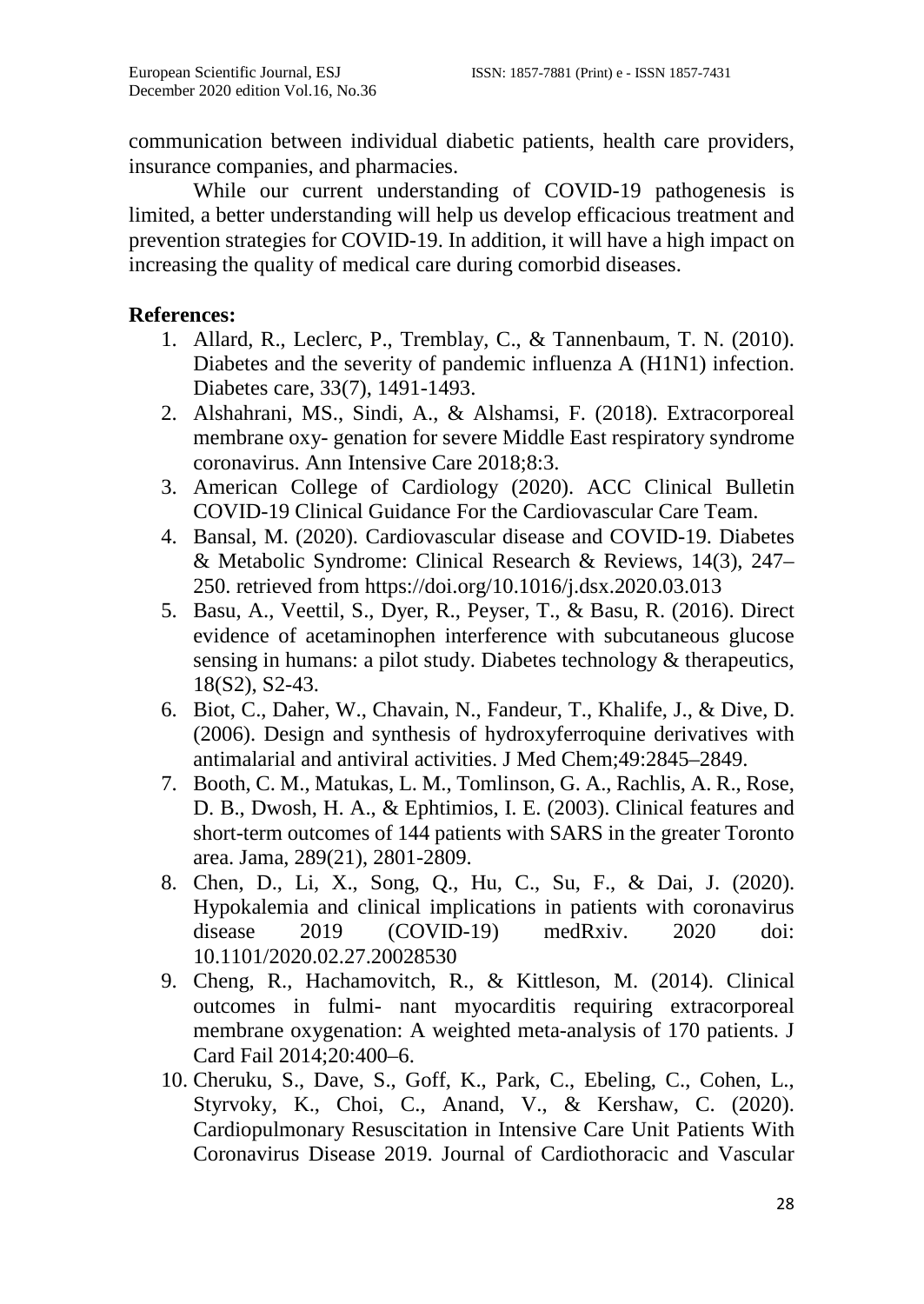communication between individual diabetic patients, health care providers, insurance companies, and pharmacies.

While our current understanding of COVID-19 pathogenesis is limited, a better understanding will help us develop efficacious treatment and prevention strategies for COVID-19. In addition, it will have a high impact on increasing the quality of medical care during comorbid diseases.

# **References:**

- 1. Allard, R., Leclerc, P., Tremblay, C., & Tannenbaum, T. N. (2010). Diabetes and the severity of pandemic influenza A (H1N1) infection. Diabetes care, 33(7), 1491-1493.
- 2. Alshahrani, MS., Sindi, A., & Alshamsi, F. (2018). Extracorporeal membrane oxy- genation for severe Middle East respiratory syndrome coronavirus. Ann Intensive Care 2018;8:3.
- 3. American College of Cardiology (2020). ACC Clinical Bulletin COVID-19 Clinical Guidance For the Cardiovascular Care Team.
- 4. Bansal, M. (2020). Cardiovascular disease and COVID-19. Diabetes & Metabolic Syndrome: Clinical Research & Reviews, 14(3), 247– 250. retrieved from https://doi.org/10.1016/j.dsx.2020.03.013
- 5. Basu, A., Veettil, S., Dyer, R., Peyser, T., & Basu, R. (2016). Direct evidence of acetaminophen interference with subcutaneous glucose sensing in humans: a pilot study. Diabetes technology & therapeutics, 18(S2), S2-43.
- 6. Biot, C., Daher, W., Chavain, N., Fandeur, T., Khalife, J., & Dive, D. (2006). Design and synthesis of hydroxyferroquine derivatives with antimalarial and antiviral activities. J Med Chem;49:2845–2849.
- 7. Booth, C. M., Matukas, L. M., Tomlinson, G. A., Rachlis, A. R., Rose, D. B., Dwosh, H. A., & Ephtimios, I. E. (2003). Clinical features and short-term outcomes of 144 patients with SARS in the greater Toronto area. Jama, 289(21), 2801-2809.
- 8. Chen, D., Li, X., Song, Q., Hu, C., Su, F., & Dai, J. (2020). Hypokalemia and clinical implications in patients with coronavirus disease 2019 (COVID-19) medRxiv. 2020 doi: 10.1101/2020.02.27.20028530
- 9. Cheng, R., Hachamovitch, R., & Kittleson, M. (2014). Clinical outcomes in fulmi- nant myocarditis requiring extracorporeal membrane oxygenation: A weighted meta-analysis of 170 patients. J Card Fail 2014;20:400–6.
- 10. Cheruku, S., Dave, S., Goff, K., Park, C., Ebeling, C., Cohen, L., Styrvoky, K., Choi, C., Anand, V., & Kershaw, C. (2020). Cardiopulmonary Resuscitation in Intensive Care Unit Patients With Coronavirus Disease 2019. Journal of Cardiothoracic and Vascular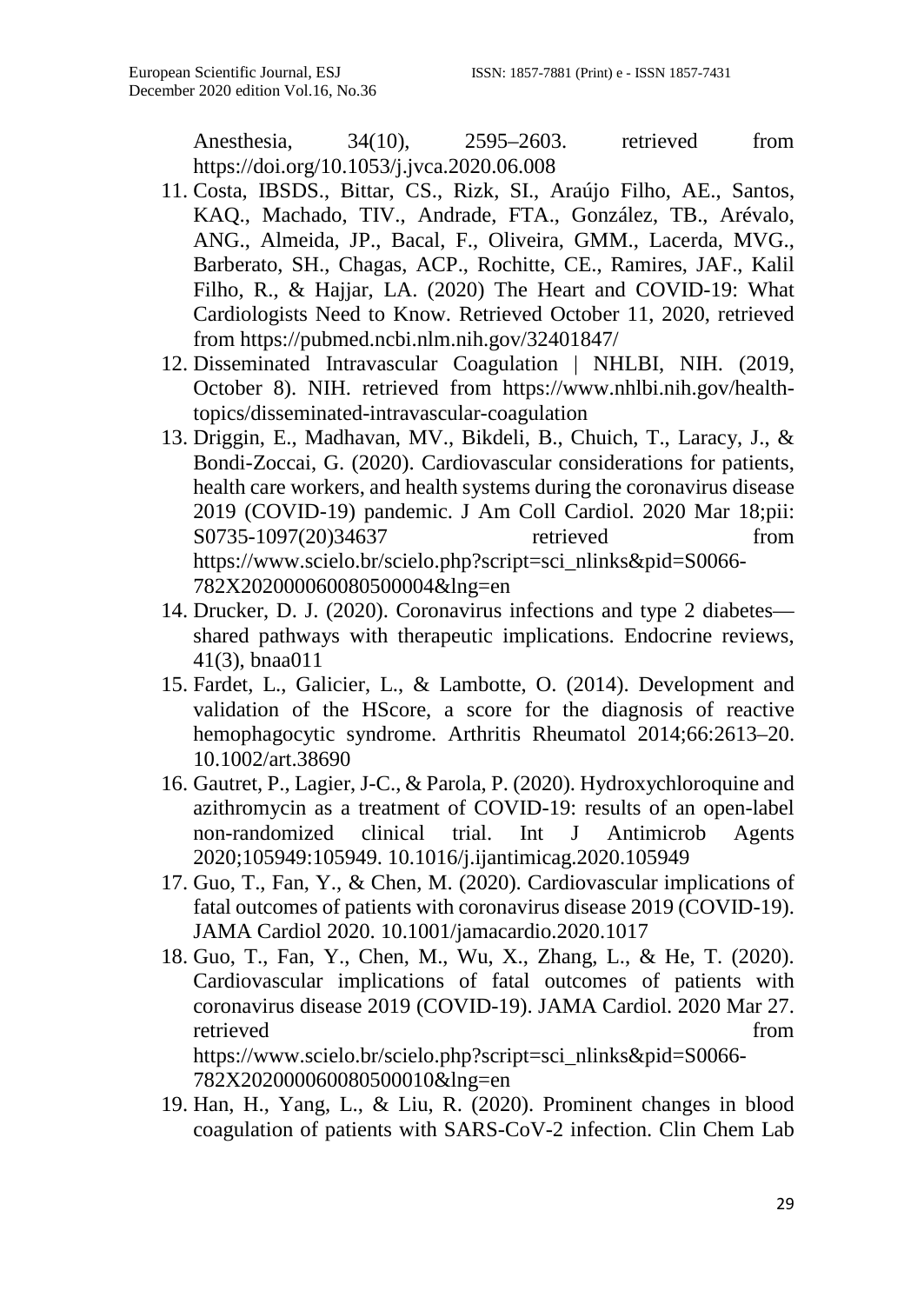Anesthesia, 34(10), 2595–2603. retrieved from https://doi.org/10.1053/j.jvca.2020.06.008

- 11. Costa, IBSDS., Bittar, CS., Rizk, SI., Araújo Filho, AE., Santos, KAQ., Machado, TIV., Andrade, FTA., González, TB., Arévalo, ANG., Almeida, JP., Bacal, F., Oliveira, GMM., Lacerda, MVG., Barberato, SH., Chagas, ACP., Rochitte, CE., Ramires, JAF., Kalil Filho, R., & Hajjar, LA. (2020) The Heart and COVID-19: What Cardiologists Need to Know. Retrieved October 11, 2020, retrieved from https://pubmed.ncbi.nlm.nih.gov/32401847/
- 12. Disseminated Intravascular Coagulation | NHLBI, NIH. (2019, October 8). NIH. retrieved from https://www.nhlbi.nih.gov/healthtopics/disseminated-intravascular-coagulation
- 13. Driggin, E., Madhavan, MV., Bikdeli, B., Chuich, T., Laracy, J., & Bondi-Zoccai, G. (2020). Cardiovascular considerations for patients, health care workers, and health systems during the coronavirus disease 2019 (COVID-19) pandemic. J Am Coll Cardiol. 2020 Mar 18;pii: S0735-1097(20)34637 retrieved from https://www.scielo.br/scielo.php?script=sci\_nlinks&pid=S0066- 782X202000060080500004&lng=en
- 14. Drucker, D. J. (2020). Coronavirus infections and type 2 diabetes shared pathways with therapeutic implications. Endocrine reviews, 41(3), bnaa011
- 15. Fardet, L., Galicier, L., & Lambotte, O. (2014). Development and validation of the HScore, a score for the diagnosis of reactive hemophagocytic syndrome. Arthritis Rheumatol 2014;66:2613–20. 10.1002/art.38690
- 16. Gautret, P., Lagier, J-C., & Parola, P. (2020). Hydroxychloroquine and azithromycin as a treatment of COVID-19: results of an open-label non-randomized clinical trial. Int J Antimicrob Agents 2020;105949:105949. 10.1016/j.ijantimicag.2020.105949
- 17. Guo, T., Fan, Y., & Chen, M. (2020). Cardiovascular implications of fatal outcomes of patients with coronavirus disease 2019 (COVID-19). JAMA Cardiol 2020. 10.1001/jamacardio.2020.1017
- 18. Guo, T., Fan, Y., Chen, M., Wu, X., Zhang, L., & He, T. (2020). Cardiovascular implications of fatal outcomes of patients with coronavirus disease 2019 (COVID-19). JAMA Cardiol. 2020 Mar 27. retrieved from  $\sim$ https://www.scielo.br/scielo.php?script=sci\_nlinks&pid=S0066- 782X202000060080500010&lng=en
- 19. Han, H., Yang, L., & Liu, R. (2020). Prominent changes in blood coagulation of patients with SARS-CoV-2 infection. Clin Chem Lab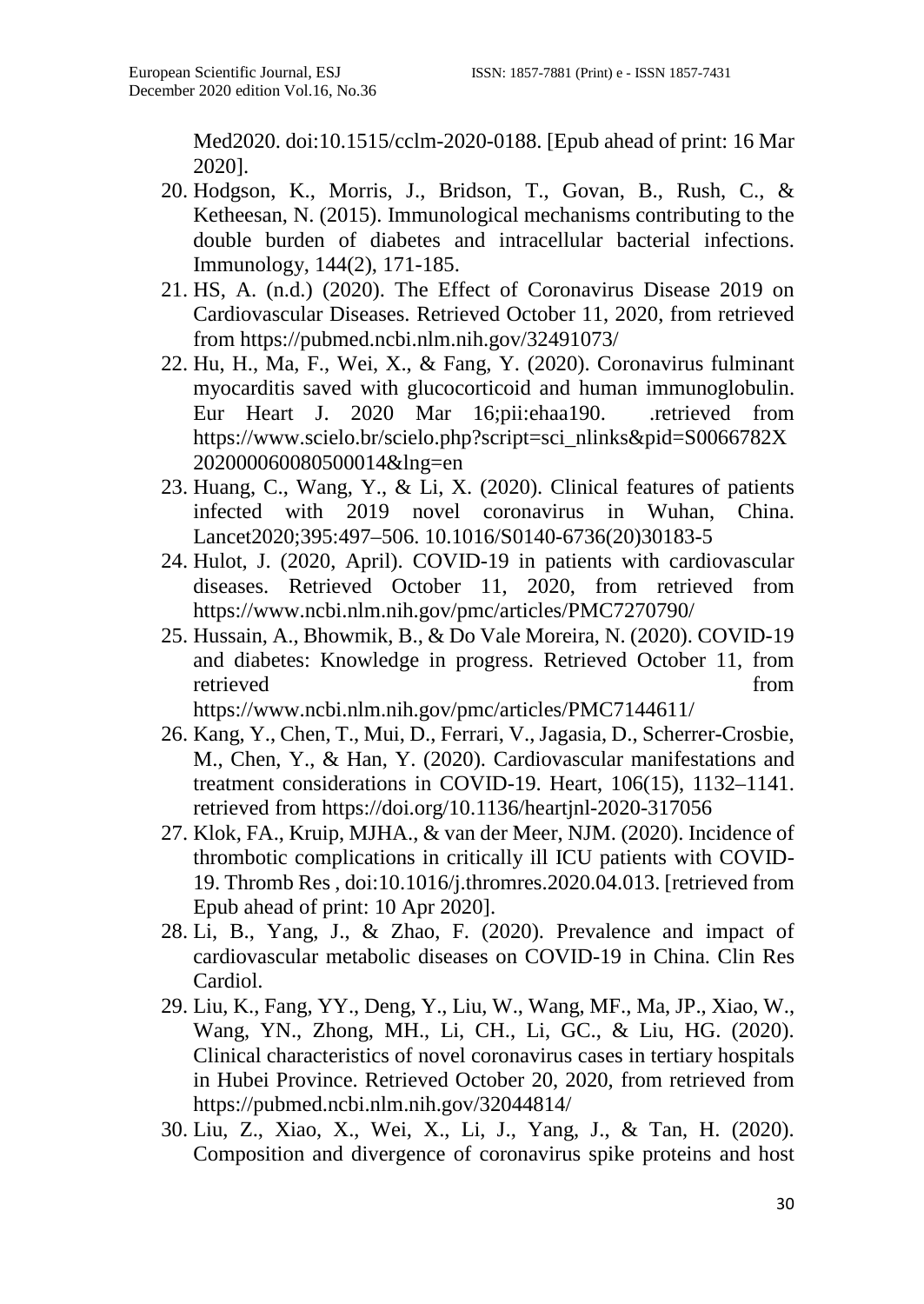Med2020. doi:10.1515/cclm-2020-0188. [Epub ahead of print: 16 Mar 2020].

- 20. Hodgson, K., Morris, J., Bridson, T., Govan, B., Rush, C., & Ketheesan, N. (2015). Immunological mechanisms contributing to the double burden of diabetes and intracellular bacterial infections. Immunology, 144(2), 171-185.
- 21. HS, A. (n.d.) (2020). The Effect of Coronavirus Disease 2019 on Cardiovascular Diseases. Retrieved October 11, 2020, from retrieved from https://pubmed.ncbi.nlm.nih.gov/32491073/
- 22. Hu, H., Ma, F., Wei, X., & Fang, Y. (2020). Coronavirus fulminant myocarditis saved with glucocorticoid and human immunoglobulin. Eur Heart J. 2020 Mar 16;pii:ehaa190. .retrieved from https://www.scielo.br/scielo.php?script=sci\_nlinks&pid=S0066782X 202000060080500014&lng=en
- 23. Huang, C., Wang, Y., & Li, X. (2020). Clinical features of patients infected with 2019 novel coronavirus in Wuhan, China. Lancet2020;395:497–506. 10.1016/S0140-6736(20)30183-5
- 24. Hulot, J. (2020, April). COVID-19 in patients with cardiovascular diseases. Retrieved October 11, 2020, from retrieved from https://www.ncbi.nlm.nih.gov/pmc/articles/PMC7270790/
- 25. Hussain, A., Bhowmik, B., & Do Vale Moreira, N. (2020). COVID-19 and diabetes: Knowledge in progress. Retrieved October 11, from retrieved from  $\sim$

https://www.ncbi.nlm.nih.gov/pmc/articles/PMC7144611/

- 26. Kang, Y., Chen, T., Mui, D., Ferrari, V., Jagasia, D., Scherrer-Crosbie, M., Chen, Y., & Han, Y. (2020). Cardiovascular manifestations and treatment considerations in COVID-19. Heart, 106(15), 1132–1141. retrieved from https://doi.org/10.1136/heartjnl-2020-317056
- 27. Klok, FA., Kruip, MJHA., & van der Meer, NJM. (2020). Incidence of thrombotic complications in critically ill ICU patients with COVID-19. Thromb Res , doi:10.1016/j.thromres.2020.04.013. [retrieved from Epub ahead of print: 10 Apr 2020].
- 28. Li, B., Yang, J., & Zhao, F. (2020). Prevalence and impact of cardiovascular metabolic diseases on COVID-19 in China. Clin Res Cardiol.
- 29. Liu, K., Fang, YY., Deng, Y., Liu, W., Wang, MF., Ma, JP., Xiao, W., Wang, YN., Zhong, MH., Li, CH., Li, GC., & Liu, HG. (2020). Clinical characteristics of novel coronavirus cases in tertiary hospitals in Hubei Province. Retrieved October 20, 2020, from retrieved from https://pubmed.ncbi.nlm.nih.gov/32044814/
- 30. Liu, Z., Xiao, X., Wei, X., Li, J., Yang, J., & Tan, H. (2020). Composition and divergence of coronavirus spike proteins and host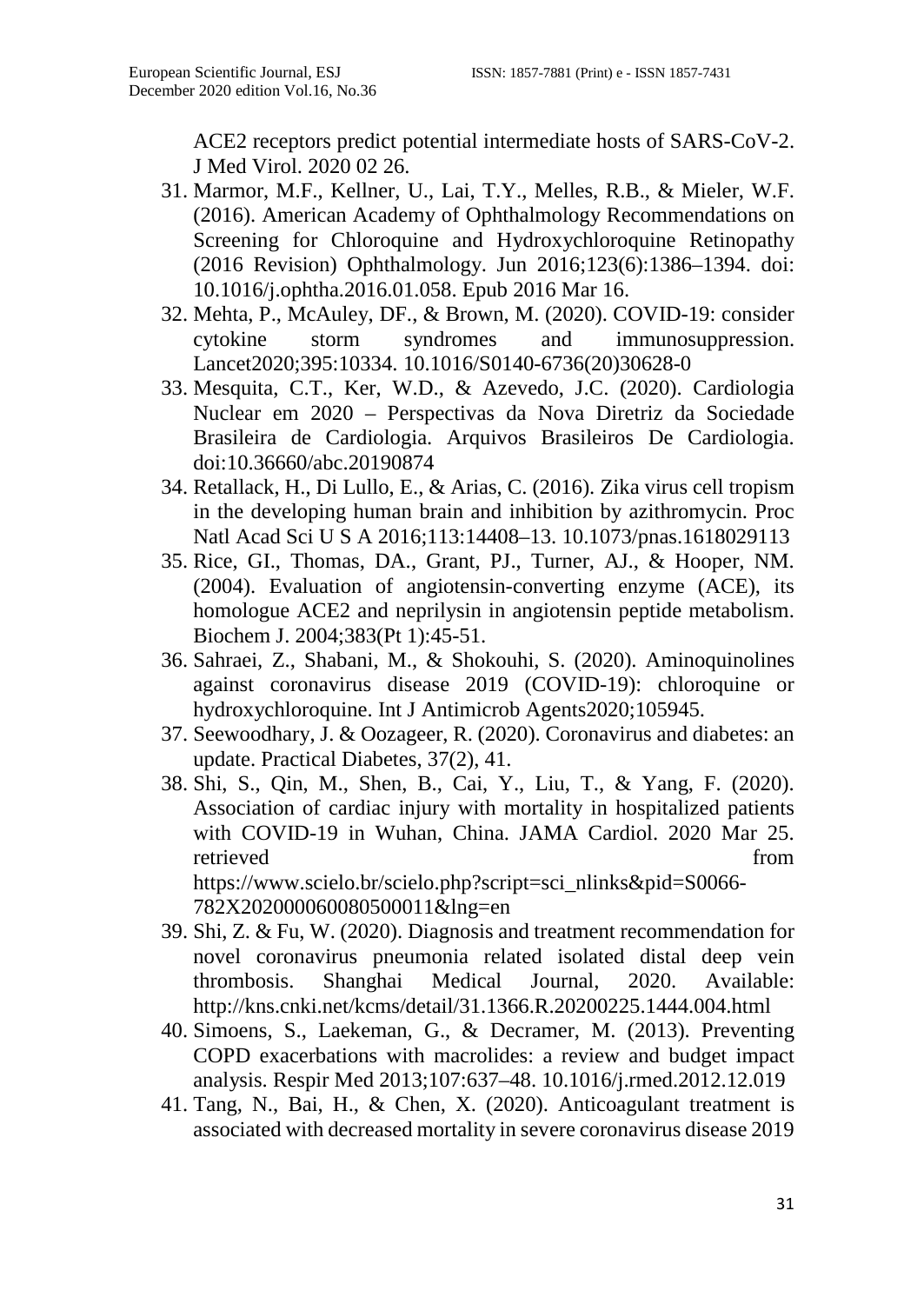ACE2 receptors predict potential intermediate hosts of SARS-CoV-2. J Med Virol. 2020 02 26.

- 31. Marmor, M.F., Kellner, U., Lai, T.Y., Melles, R.B., & Mieler, W.F. (2016). American Academy of Ophthalmology Recommendations on Screening for Chloroquine and Hydroxychloroquine Retinopathy (2016 Revision) Ophthalmology. Jun 2016;123(6):1386–1394. doi: 10.1016/j.ophtha.2016.01.058. Epub 2016 Mar 16.
- 32. Mehta, P., McAuley, DF., & Brown, M. (2020). COVID-19: consider cytokine storm syndromes and immunosuppression. cytokine storm syndromes and immunosuppression. Lancet2020;395:10334. 10.1016/S0140-6736(20)30628-0
- 33. Mesquita, C.T., Ker, W.D., & Azevedo, J.C. (2020). Cardiologia Nuclear em 2020 – Perspectivas da Nova Diretriz da Sociedade Brasileira de Cardiologia. Arquivos Brasileiros De Cardiologia. doi:10.36660/abc.20190874
- 34. Retallack, H., Di Lullo, E., & Arias, C. (2016). Zika virus cell tropism in the developing human brain and inhibition by azithromycin. Proc Natl Acad Sci U S A 2016;113:14408–13. 10.1073/pnas.1618029113
- 35. Rice, GI., Thomas, DA., Grant, PJ., Turner, AJ., & Hooper, NM. (2004). Evaluation of angiotensin-converting enzyme (ACE), its homologue ACE2 and neprilysin in angiotensin peptide metabolism. Biochem J. 2004;383(Pt 1):45-51.
- 36. Sahraei, Z., Shabani, M., & Shokouhi, S. (2020). Aminoquinolines against coronavirus disease 2019 (COVID-19): chloroquine or hydroxychloroquine. Int J Antimicrob Agents2020;105945.
- 37. Seewoodhary, J. & Oozageer, R. (2020). Coronavirus and diabetes: an update. Practical Diabetes, 37(2), 41.
- 38. Shi, S., Qin, M., Shen, B., Cai, Y., Liu, T., & Yang, F. (2020). Association of cardiac injury with mortality in hospitalized patients with COVID-19 in Wuhan, China. JAMA Cardiol. 2020 Mar 25. retrieved from  $\sim$ https://www.scielo.br/scielo.php?script=sci\_nlinks&pid=S0066- 782X202000060080500011&lng=en
- 39. Shi, Z. & Fu, W. (2020). Diagnosis and treatment recommendation for novel coronavirus pneumonia related isolated distal deep vein thrombosis. Shanghai Medical Journal, 2020. Available: http://kns.cnki.net/kcms/detail/31.1366.R.20200225.1444.004.html
- 40. Simoens, S., Laekeman, G., & Decramer, M. (2013). Preventing COPD exacerbations with macrolides: a review and budget impact analysis. Respir Med 2013;107:637–48. 10.1016/j.rmed.2012.12.019
- 41. Tang, N., Bai, H., & Chen, X. (2020). Anticoagulant treatment is associated with decreased mortality in severe coronavirus disease 2019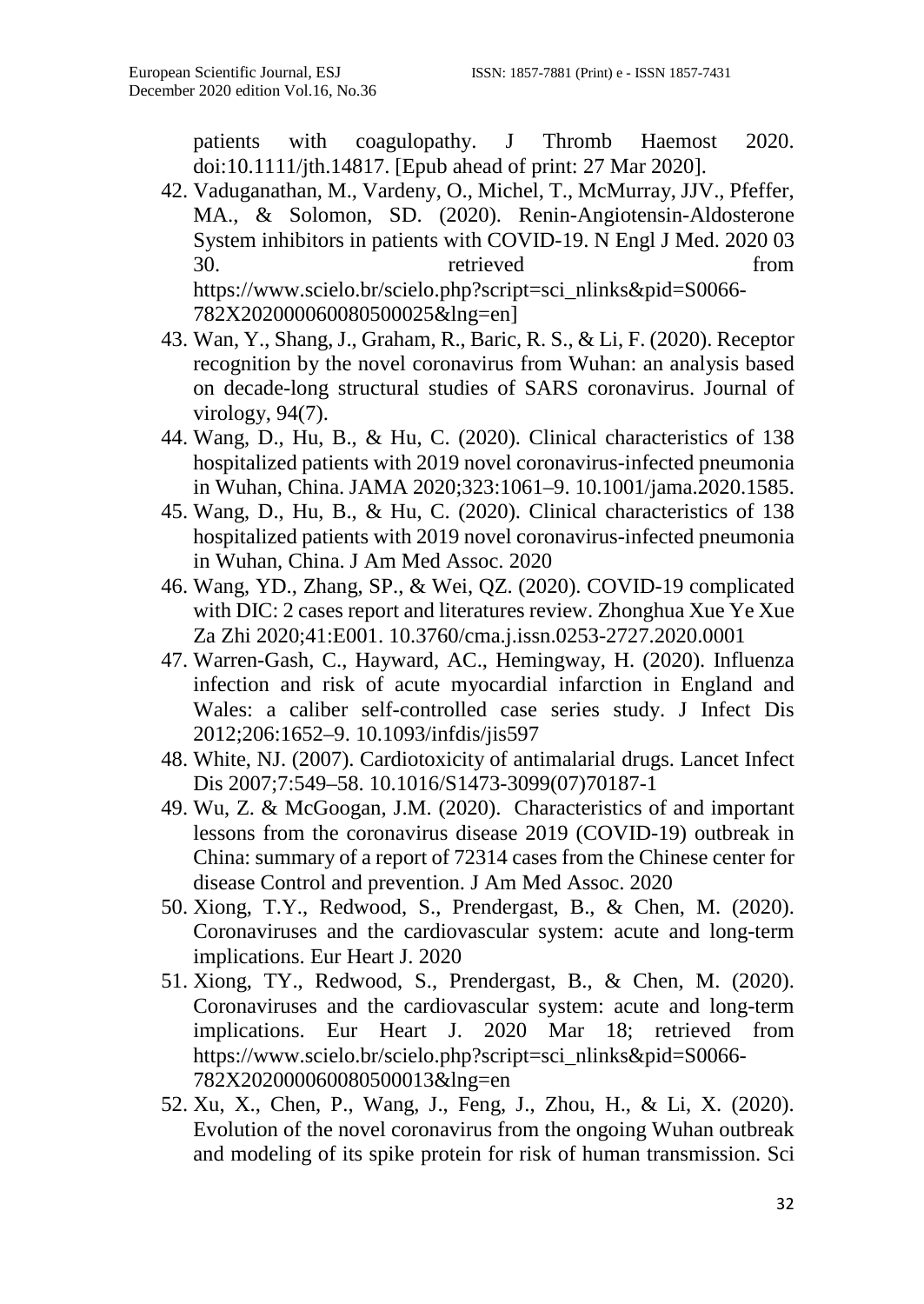patients with coagulopathy. J Thromb Haemost 2020. doi:10.1111/jth.14817. [Epub ahead of print: 27 Mar 2020].

- 42. Vaduganathan, M., Vardeny, O., Michel, T., McMurray, JJV., Pfeffer, MA., & Solomon, SD. (2020). Renin-Angiotensin-Aldosterone System inhibitors in patients with COVID-19. N Engl J Med. 2020 03 30. retrieved from https://www.scielo.br/scielo.php?script=sci\_nlinks&pid=S0066- 782X202000060080500025&lng=en]
- 43. Wan, Y., Shang, J., Graham, R., Baric, R. S., & Li, F. (2020). Receptor recognition by the novel coronavirus from Wuhan: an analysis based on decade-long structural studies of SARS coronavirus. Journal of virology, 94(7).
- 44. Wang, D., Hu, B., & Hu, C. (2020). Clinical characteristics of 138 hospitalized patients with 2019 novel coronavirus-infected pneumonia in Wuhan, China. JAMA 2020;323:1061–9. 10.1001/jama.2020.1585.
- 45. Wang, D., Hu, B., & Hu, C. (2020). Clinical characteristics of 138 hospitalized patients with 2019 novel coronavirus-infected pneumonia in Wuhan, China. J Am Med Assoc. 2020
- 46. Wang, YD., Zhang, SP., & Wei, QZ. (2020). COVID-19 complicated with DIC: 2 cases report and literatures review. Zhonghua Xue Ye Xue Za Zhi 2020;41:E001. 10.3760/cma.j.issn.0253-2727.2020.0001
- 47. Warren-Gash, C., Hayward, AC., Hemingway, H. (2020). Influenza infection and risk of acute myocardial infarction in England and Wales: a caliber self-controlled case series study. J Infect Dis 2012;206:1652–9. 10.1093/infdis/jis597
- 48. White, NJ. (2007). Cardiotoxicity of antimalarial drugs. Lancet Infect Dis 2007;7:549–58. 10.1016/S1473-3099(07)70187-1
- 49. Wu, Z. & McGoogan, J.M. (2020). Characteristics of and important lessons from the coronavirus disease 2019 (COVID-19) outbreak in China: summary of a report of 72314 cases from the Chinese center for disease Control and prevention. J Am Med Assoc. 2020
- 50. Xiong, T.Y., Redwood, S., Prendergast, B., & Chen, M. (2020). Coronaviruses and the cardiovascular system: acute and long-term implications. Eur Heart J. 2020
- 51. Xiong, TY., Redwood, S., Prendergast, B., & Chen, M. (2020). Coronaviruses and the cardiovascular system: acute and long-term implications. Eur Heart J. 2020 Mar 18; retrieved from https://www.scielo.br/scielo.php?script=sci\_nlinks&pid=S0066- 782X202000060080500013&lng=en
- 52. Xu, X., Chen, P., Wang, J., Feng, J., Zhou, H., & Li, X. (2020). Evolution of the novel coronavirus from the ongoing Wuhan outbreak and modeling of its spike protein for risk of human transmission. Sci